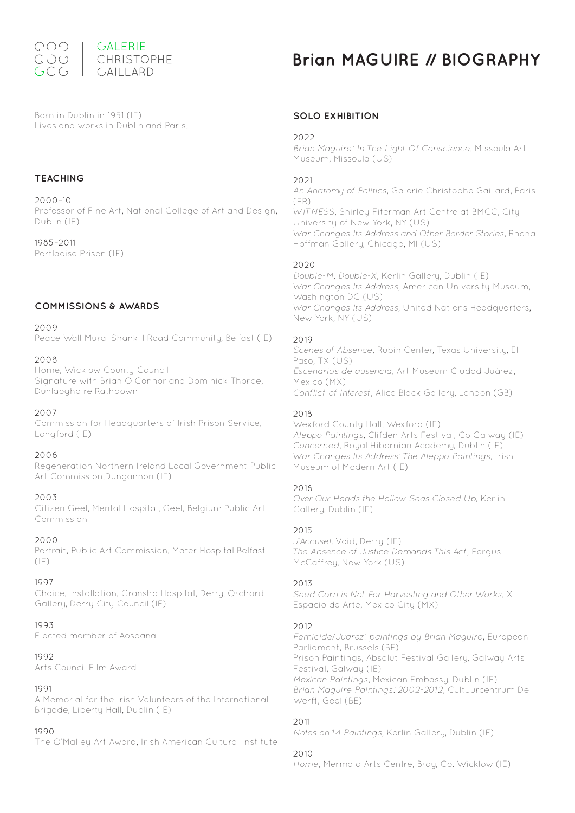

Born in Dublin in 1951 (IE) Lives and works in Dublin and Paris.

## **TEACHING**

2000–10 Professor of Fine Art, National College of Art and Design, Dublin (IE)

1985–2011 Portlaoise Prison (IE)

## **COMMISSIONS & AWARDS**

2009

Peace Wall Mural Shankill Road Community, Belfast (IE)

#### 2008

Home, Wicklow County Council Signature with Brian O Connor and Dominick Thorpe, Dunlaoghaire Rathdown

#### 2007

Commission for Headquarters of Irish Prison Service, Longford (IE)

#### 2006

Regeneration Northern Ireland Local Government Public Art Commission,Dungannon (IE)

#### 2003

Citizen Geel, Mental Hospital, Geel, Belgium Public Art **Commission** 

#### 2000

Portrait, Public Art Commission, Mater Hospital Belfast  $(IE)$ 

#### 1997

Choice, Installation, Gransha Hospital, Derry, Orchard Gallery, Derry City Council (IE)

#### 1993

Elected member of Aosdana

#### 1992

Arts Council Film Award

#### 1991

A Memorial for the Irish Volunteers of the International Brigade, Liberty Hall, Dublin (IE)

#### 1990

The O'Malley Art Award, Irish American Cultural Institute

# **Brian MAGUIRE // BIOGRAPHY**

# **SOLO EXHIBITION**

#### 2022

Brian Maguire: In The Light Of Conscience, Missoula Art Museum, Missoula (US)

#### $2021$

An Anatomy of Politics, Galerie Christophe Gaillard, Paris  $(FR)$ WITNESS, Shirley Fiterman Art Centre at BMCC, City University of New York, NY (US) War Changes Its Address and Other Border Stories, Rhona Hoffman Gallery, Chicago, MI (US)

#### 2020

Double-M, Double-X, Kerlin Gallery, Dublin (IE) War Changes Its Address, American University Museum, Washington DC (US) War Changes Its Address, United Nations Headquarters, New York, NY (US)

#### 2019

Scenes of Absence, Rubin Center, Texas University, El Paso, TX (US) Escenarios de ausencia, Art Museum Ciudad Juárez, Mexico (MX) Conflict of Interest, Alice Black Gallery, London (GB)

#### 2018

Wexford County Hall, Wexford (IE) Aleppo Paintings, Clifden Arts Festival, Co Galway (IE) Concerned, Royal Hibernian Academy, Dublin (IE) War Changes Its Address: The Aleppo Paintings, Irish Museum of Modern Art (IE)

#### 2016

Over Our Heads the Hollow Seas Closed Up, Kerlin Gallery, Dublin (IE)

#### 2015

J'Accuse!, Void, Derry (IE) The Absence of Justice Demands This Act, Fergus McCaffrey, New York (US)

#### 2013

Seed Corn is Not For Harvesting and Other Works, X Espacio de Arte, Mexico City (MX)

#### 2012

Femicide/Juarez: paintings by Brian Maguire, European Parliament, Brussels (BE) Prison Paintings, Absolut Festival Gallery, Galway Arts Festival, Galway (IE) Mexican Paintings, Mexican Embassy, Dublin (IE) Brian Maguire Paintings: 2002-2012, Cultuurcentrum De Werft, Geel (BE)

#### 2011

Notes on 14 Paintings, Kerlin Gallery, Dublin (IE)

#### 2010

Home, Mermaid Arts Centre, Bray, Co. Wicklow (IE)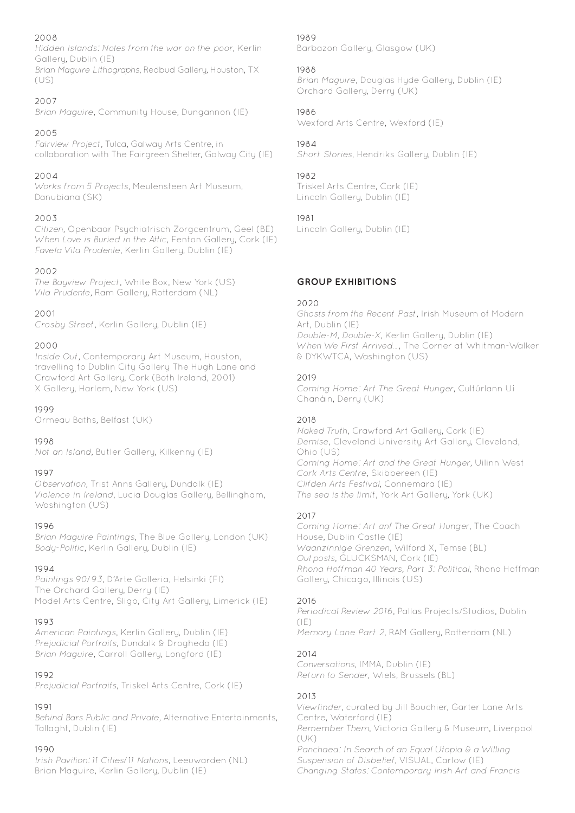# 2008

Hidden Islands: Notes from the war on the poor, Kerlin Gallery, Dublin (IE)

Brian Maguire Lithographs, Redbud Gallery, Houston, TX (US)

# 2007

Brian Maguire, Community House, Dungannon (IE)

# 2005

Fairview Project, Tulca, Galway Arts Centre, in collaboration with The Fairgreen Shelter, Galway City (IE)

# 2004

Works from 5 Projects, Meulensteen Art Museum, Danubiana (SK)

# 2003

Citizen, Openbaar Psychiatrisch Zorgcentrum, Geel (BE) When Love is Buried in the Attic, Fenton Gallery, Cork (IE) Favela Vila Prudente, Kerlin Gallery, Dublin (IE)

# 2002

The Bayview Project, White Box, New York (US) Vila Prudente, Ram Gallery, Rotterdam (NL)

# 2001

Crosby Street, Kerlin Gallery, Dublin (IE)

# 2000

Inside Out, Contemporary Art Museum, Houston, travelling to Dublin City Gallery The Hugh Lane and Crawford Art Gallery, Cork (Both Ireland, 2001) X Gallery, Harlem, New York (US)

## 1999

Ormeau Baths, Belfast (UK)

## 1998

Not an Island, Butler Gallery, Kilkenny (IE)

## 1997

Observation, Trist Anns Gallery, Dundalk (IE) Violence in Ireland, Lucia Douglas Gallery, Bellingham, Washington (US)

## 1996

Brian Maguire Paintings, The Blue Gallery, London (UK) Body-Politic, Kerlin Gallery, Dublin (IE)

## 1994

Paintings 90/93, D'Arte Galleria, Helsinki (FI) The Orchard Gallery, Derry (IE) Model Arts Centre, Sligo, City Art Gallery, Limerick (IE)

## 1993

American Paintings, Kerlin Gallery, Dublin (IE) Prejudicial Portraits, Dundalk & Drogheda (IE) Brian Maguire, Carroll Gallery, Longford (IE)

## 1992

Prejudicial Portraits, Triskel Arts Centre, Cork (IE)

# 1991

Behind Bars Public and Private, Alternative Entertainments, Tallaght, Dublin (IE)

# 1990

Irish Pavilion: 11 Cities/11 Nations, Leeuwarden (NL) Brian Maguire, Kerlin Gallery, Dublin (IE)

# 1989

Barbazon Gallery, Glasgow (UK)

# 1988

Brian Maguire, Douglas Hyde Gallery, Dublin (IE) Orchard Gallery, Derry (UK)

# 1986

Wexford Arts Centre, Wexford (IE)

# 1984

Short Stories, Hendriks Gallery, Dublin (IE)

# 1982

Triskel Arts Centre, Cork (IE) Lincoln Gallery, Dublin (IE)

# 1981

Lincoln Gallery, Dublin (IE)

# **GROUP EXHIBITIONS**

## 2020

Ghosts from the Recent Past, Irish Museum of Modern Art, Dublin (IE) Double-M, Double-X, Kerlin Gallery, Dublin (IE) When We First Arrived…, The Corner at Whitman-Walker & DYKWTCA, Washington (US)

# 2019

Coming Home: Art The Great Hunger, Cultúrlann Uí Chanáin, Derry (UK)

## 2018

Naked Truth, Crawford Art Gallery, Cork (IE) Demise, Cleveland University Art Gallery, Cleveland, Ohio (US) Coming Home: Art and the Great Hunger, Uilinn West Cork Arts Centre, Skibbereen (IE) Clifden Arts Festival, Connemara (IE) The sea is the limit, York Art Gallery, York (UK)

## 2017

Coming Home: Art anf The Great Hunger, The Coach House, Dublin Castle (IE) Waanzinnige Grenzen, Wilford X, Temse (BL) Outposts, GLUCKSMAN, Cork (IE) Rhona Hoffman 40 Years, Part 3: Political, Rhona Hoffman Gallery, Chicago, Illinois (US)

## 2016

Periodical Review 2016, Pallas Projects/Studios, Dublin  $(IF)$ Memory Lane Part 2, RAM Gallery, Rotterdam (NL)

# 2014

Conversations, IMMA, Dublin (IE) Return to Sender, Wiels, Brussels (BL)

# 2013

Viewfinder, curated by Jill Bouchier, Garter Lane Arts Centre, Waterford (IE) Remember Them, Victoria Gallery & Museum, Liverpool (UK) Panchaea: In Search of an Equal Utopia & a Willing Suspension of Disbelief, VISUAL, Carlow (IE) Changing States: Contemporary Irish Art and Francis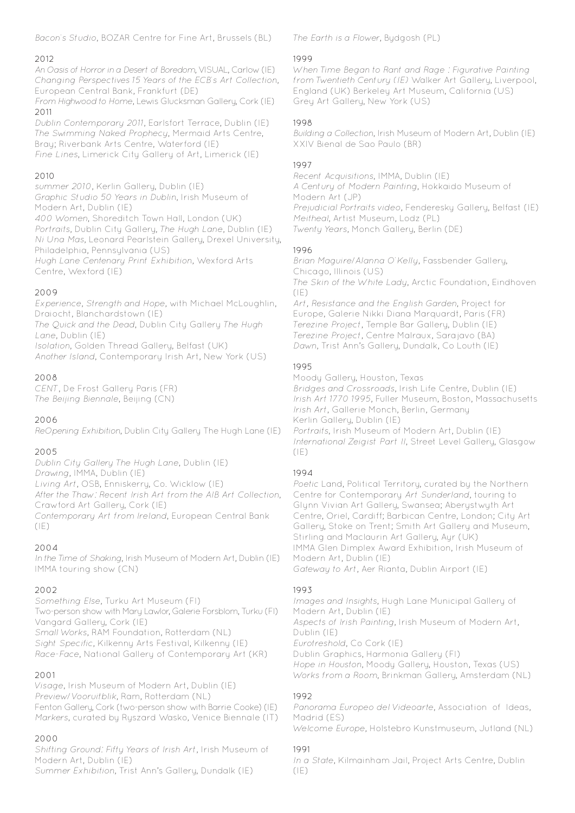Bacon's Studio, BOZAR Centre for Fine Art, Brussels (BL)

# 2012

An Oasis of Horror in a Desert of Boredom, VISUAL, Carlow (IE) Changing Perspectives 15 Years of the ECB's Art Collection, European Central Bank, Frankfurt (DE)

From Highwood to Home, Lewis Glucksman Gallery, Cork (IE) 2011

Dublin Contemporary 2011, Earlsfort Terrace, Dublin (IE) The Swimming Naked Prophecy, Mermaid Arts Centre, Bray; Riverbank Arts Centre, Waterford (IE) Fine Lines, Limerick City Gallery of Art, Limerick (IE)

# 2010

summer 2010, Kerlin Gallery, Dublin (IE) Graphic Studio 50 Years in Dublin, Irish Museum of Modern Art, Dublin (IE) 400 Women, Shoreditch Town Hall, London (UK) Portraits, Dublin City Gallery, The Hugh Lane, Dublin (IE) Ni Una Mas, Leonard Pearlstein Gallery, Drexel University, Philadelphia, Pennsylvania (US) Hugh Lane Centenary Print Exhibition, Wexford Arts Centre, Wexford (IE)

# 2009

Experience, Strength and Hope, with Michael McLoughlin, Draiocht, Blanchardstown (IE)

The Quick and the Dead, Dublin City Gallery The Hugh Lane, Dublin (IE)

Isolation, Golden Thread Gallery, Belfast (UK) Another Island, Contemporary Irish Art, New York (US)

## 2008

CENT, De Frost Gallery Paris (FR) The Beijing Biennale, Beijing (CN)

## 2006

ReOpening Exhibition, Dublin City Gallery The Hugh Lane (IE)

## 2005

Dublin City Gallery The Hugh Lane, Dublin (IE) Drawing, IMMA, Dublin (IE) Living Art, OSB, Enniskerry, Co. Wicklow (IE) After the Thaw: Recent Irish Art from the AIB Art Collection, Crawford Art Gallery, Cork (IE) Contemporary Art from Ireland, European Central Bank  $(|F|)$ 

## 2004

In the Time of Shaking, Irish Museum of Modern Art, Dublin (IE) IMMA touring show (CN)

## 2002

Something Else, Turku Art Museum (FI) Two-person show with Mary Lawlor, Galerie Forsblom, Turku (FI) Vangard Gallery, Cork (IE) Small Works, RAM Foundation, Rotterdam (NL) Sight Specific, Kilkenny Arts Festival, Kilkenny (IE) Race-Face, National Gallery of Contemporary Art (KR)

## 2001

Visage, Irish Museum of Modern Art, Dublin (IE) Preview/Vooruitblik, Ram, Rotterdam (NL) Fenton Gallery, Cork (two-person show with Barrie Cooke) (IE) Markers, curated by Ryszard Wasko, Venice Biennale (IT)

## 2000

Shifting Ground: Fifty Years of Irish Art, Irish Museum of Modern Art, Dublin (IE)

Summer Exhibition, Trist Ann's Gallery, Dundalk (IE)

The Earth is a Flower, Bydgosh (PL)

#### 1999

When Time Began to Rant and Rage : Figurative Painting from Twentieth Century (IE) Walker Art Gallery, Liverpool, England (UK) Berkeley Art Museum, California (US) Grey Art Gallery, New York (US)

#### 1998

Building a Collection, Irish Museum of Modern Art, Dublin (IE) XXIV Bienal de Sao Paulo (BR)

#### 1997

Recent Acquisitions, IMMA, Dublin (IE) A Century of Modern Painting, Hokkaido Museum of Modern Art (JP) Prejudicial Portraits video, Fenderesky Gallery, Belfast (IE) Meitheal, Artist Museum, Lodz (PL) Twenty Years, Monch Gallery, Berlin (DE)

#### 1996

Brian Maguire/Alanna O'Kelly, Fassbender Gallery, Chicago, Illinois (US) The Skin of the White Lady, Arctic Foundation, Eindhoven  $(IE)$ Art, Resistance and the English Garden, Project for Europe, Galerie Nikki Diana Marquardt, Paris (FR) Terezine Project, Temple Bar Gallery, Dublin (IE) Terezine Project, Centre Malraux, Sarajavo (BA) Dawn, Trist Ann's Gallery, Dundalk, Co Louth (IE)

## 1995

Moody Gallery, Houston, Texas Bridges and Crossroads, Irish Life Centre, Dublin (IE) Irish Art 1770 1995, Fuller Museum, Boston, Massachusetts Irish Art, Gallerie Monch, Berlin, Germany Kerlin Gallery, Dublin (IE) Portraits, Irish Museum of Modern Art, Dublin (IE) International Zeigist Part II, Street Level Gallery, Glasgow  $(|F|)$ 

## 1994

Poetic Land, Political Territory, curated by the Northern Centre for Contemporary Art Sunderland, touring to Glynn Vivian Art Gallery, Swansea; Aberystwyth Art Centre, Oriel, Cardiff; Barbican Centre, London; City Art Gallery, Stoke on Trent; Smith Art Gallery and Museum, Stirling and Maclaurin Art Gallery, Ayr (UK) IMMA Glen Dimplex Award Exhibition, Irish Museum of Modern Art, Dublin (IE) Gateway to Art, Aer Rianta, Dublin Airport (IE)

## 1993

Images and Insights, Hugh Lane Municipal Gallery of Modern Art, Dublin (IE) Aspects of Irish Painting, Irish Museum of Modern Art, Dublin (IE) Eurotreshold, Co Cork (IE) Dublin Graphics, Harmonia Gallery (FI) Hope in Houston, Moody Gallery, Houston, Texas (US) Works from a Room, Brinkman Gallery, Amsterdam (NL)

#### 1992

Panorama Europeo del Videoarte, Association of Ideas, Madrid (ES) Welcome Europe, Holstebro Kunstmuseum, Jutland (NL)

#### 1991

In a State, Kilmainham Jail, Project Arts Centre, Dublin  $(IE)$